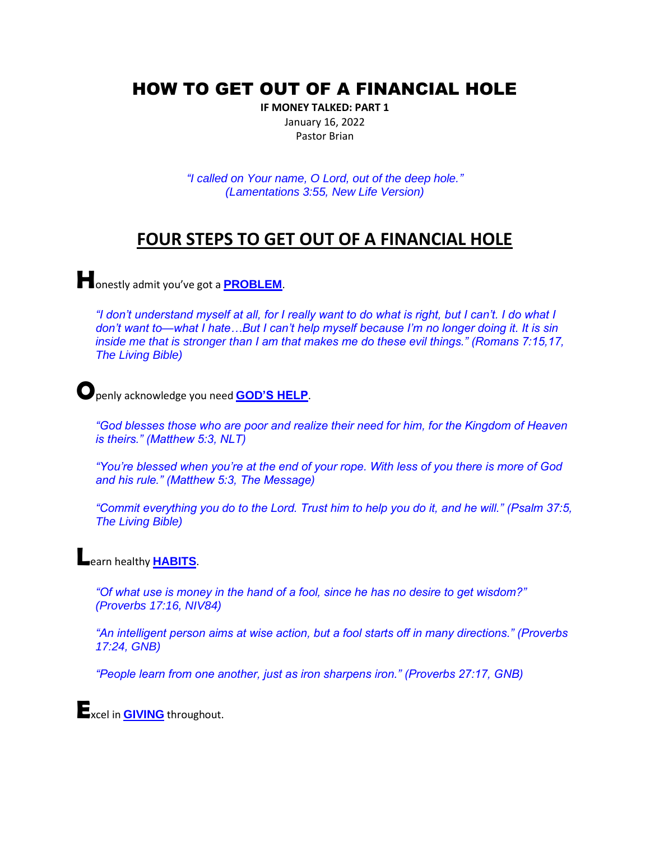## HOW TO GET OUT OF A FINANCIAL HOLE

**IF MONEY TALKED: PART 1** January 16, 2022 Pastor Brian

*"I called on Your name, O Lord, out of the deep hole." (Lamentations 3:55, New Life Version)*

## **FOUR STEPS TO GET OUT OF A FINANCIAL HOLE**

**H**onestly admit you've got a **PROBLEM**.

*"I don't understand myself at all, for I really want to do what is right, but I can't. I do what I don't want to—what I hate…But I can't help myself because I'm no longer doing it. It is sin inside me that is stronger than I am that makes me do these evil things." (Romans 7:15,17, The Living Bible)* 

**O**penly acknowledge you need **GOD'S HELP**.

*"God blesses those who are poor and realize their need for him, for the Kingdom of Heaven is theirs." (Matthew 5:3, NLT)*

*"You're blessed when you're at the end of your rope. With less of you there is more of God and his rule." (Matthew 5:3, The Message)* 

*"Commit everything you do to the Lord. Trust him to help you do it, and he will." (Psalm 37:5, The Living Bible)* 

## **L**earn healthy **HABITS**.

*"Of what use is money in the hand of a fool, since he has no desire to get wisdom?" (Proverbs 17:16, NIV84)* 

*"An intelligent person aims at wise action, but a fool starts off in many directions." (Proverbs 17:24, GNB)* 

*"People learn from one another, just as iron sharpens iron." (Proverbs 27:17, GNB)* 

**E**xcel in **GIVING** throughout.